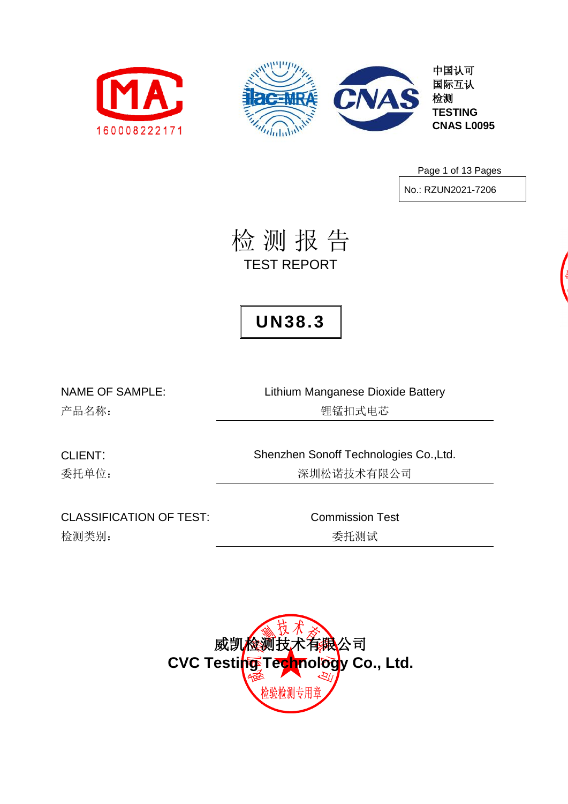



中国认可 国际互认 检测 **TESTING CNAS L0095**

Page 1 of 13 Pages

No.: RZUN2021-7206

检 测 报 告 TEST REPORT

## **UN38.3**

NAME OF SAMPLE: Lithium Manganese Dioxide Battery 产品名称: 锂锰扣式电芯

CLIENT: Shenzhen Sonoff Technologies Co.,Ltd. 委托单位: 李林 医不可能的 医二十二次 医二次试验 医抗有限公司

CLASSIFICATION OF TEST: Commission Test 检测类别: **检测类别: 无关系** 

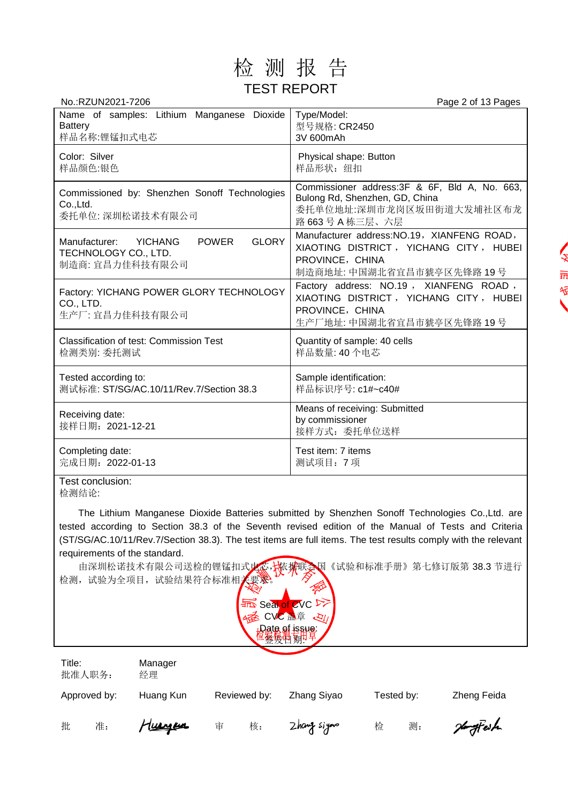

| Page 2 of 13 Pages                                                                                                                    |
|---------------------------------------------------------------------------------------------------------------------------------------|
| Type/Model:<br>型号规格: CR2450<br>3V 600mAh                                                                                              |
| Physical shape: Button<br>样品形状: 纽扣                                                                                                    |
| Commissioner address: 3F & 6F, Bld A, No. 663,<br>Bulong Rd, Shenzhen, GD, China<br>委托单位地址:深圳市龙岗区坂田街道大发埔社区布龙<br>路 663号 A 栋三层、六层       |
| Manufacturer address: NO.19, XIANFENG ROAD,<br>XIAOTING DISTRICT, YICHANG CITY, HUBEI<br>PROVINCE, CHINA<br>制造商地址: 中国湖北省宜昌市猇亭区先锋路 19号 |
| Factory address: NO.19, XIANFENG ROAD,<br>XIAOTING DISTRICT, YICHANG CITY, HUBEI<br>PROVINCE, CHINA<br>生产厂地址: 中国湖北省宜昌市猇亭区先锋路 19号      |
| Quantity of sample: 40 cells<br>样品数量: 40个电芯                                                                                           |
| Sample identification:<br>样品标识序号: c1#~c40#                                                                                            |
| Means of receiving: Submitted<br>by commissioner<br>接样方式: 委托单位送样                                                                      |
| Test item: 7 items<br>测试项目: 7项                                                                                                        |
|                                                                                                                                       |

Test conclusion: 检测结论:

The Lithium Manganese Dioxide Batteries submitted by Shenzhen Sonoff Technologies Co.,Ltd. are tested according to Section 38.3 of the Seventh revised edition of the Manual of Tests and Criteria (ST/SG/AC.10/11/Rev.7/Section 38.3). The test items are full items. The test results comply with the relevant requirements of the standard.

由深圳松诺技术有限公司送检的锂锰扣式电芯,依据联合国《试验和标准手册》第七修订版第 38.3 节进行 检测,试验为全项目,试验结果符合标准相关要求。



| Title:<br>批准人职务: | Manager<br>经理 |              |              |            |             |
|------------------|---------------|--------------|--------------|------------|-------------|
| Approved by:     | Huang Kun     | Reviewed by: | Zhang Siyao  | Tested by: | Zheng Feida |
| 批<br>准:          | Tuergen       | 核:<br>宙      | Zhang siyono | 检<br>测:    | Homeffeit   |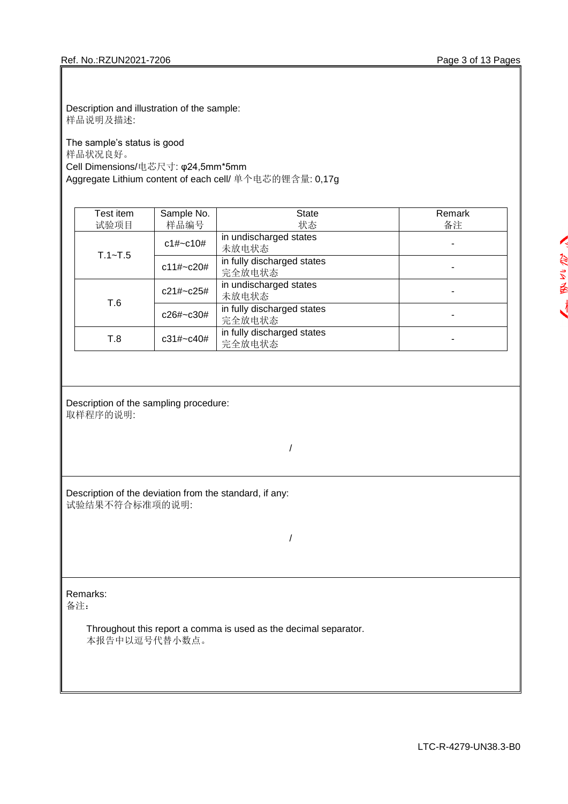Description and illustration of the sample: 样品说明及描述:

The sample's status is good 样品状况良好。 Cell Dimensions/电芯尺寸: φ24,5mm\*5mm Aggregate Lithium content of each cell/ 单个电芯的锂含量: 0,17g

| Test item   | Sample No.   | <b>State</b>                         | Remark |
|-------------|--------------|--------------------------------------|--------|
| 试验项目        | 样品编号         | 状态                                   | 备注     |
| $T.1 - T.5$ | c1#~c10#     | in undischarged states<br>未放电状态      |        |
|             | $c11\# C20#$ | in fully discharged states<br>完全放电状态 |        |
| T.6         | c21#~c25#    | in undischarged states<br>未放电状态      |        |
|             | c26#~c30#    | in fully discharged states<br>完全放电状态 |        |
| T.8         | c31#~c40#    | in fully discharged states<br>完全放电状态 |        |

Description of the sampling procedure: 取样程序的说明:

/

Description of the deviation from the standard, if any: 试验结果不符合标准项的说明:

/

Remarks:

备注:

Throughout this report a comma is used as the decimal separator. 本报告中以逗号代替小数点。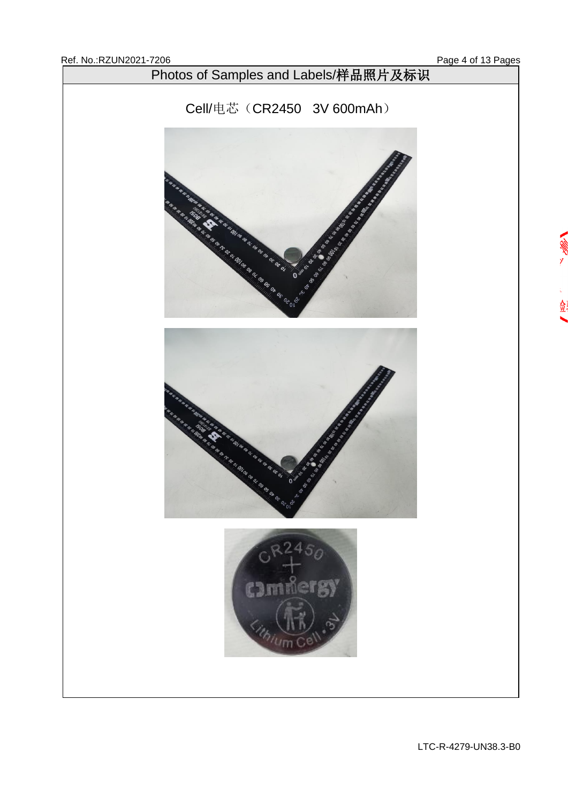金

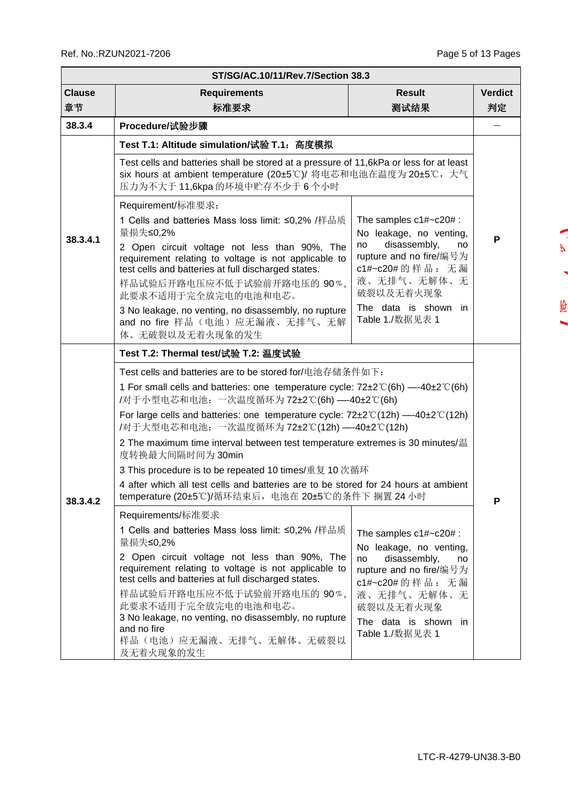$\mathbf{z}$ 

Ń

捡

|                     | ST/SG/AC.10/11/Rev.7/Section 38.3                                                                                                                                                                                                                                                                                                                                                                                                                                                                                                                                                                                                                                                                                                                                                                                                                                                                                                                                                                                                                                                                                                  |                                                                                                                                                                                                        |   |  |  |  |  |  |  |  |
|---------------------|------------------------------------------------------------------------------------------------------------------------------------------------------------------------------------------------------------------------------------------------------------------------------------------------------------------------------------------------------------------------------------------------------------------------------------------------------------------------------------------------------------------------------------------------------------------------------------------------------------------------------------------------------------------------------------------------------------------------------------------------------------------------------------------------------------------------------------------------------------------------------------------------------------------------------------------------------------------------------------------------------------------------------------------------------------------------------------------------------------------------------------|--------------------------------------------------------------------------------------------------------------------------------------------------------------------------------------------------------|---|--|--|--|--|--|--|--|
| <b>Clause</b><br>章节 | <b>Result</b><br><b>Verdict</b><br><b>Requirements</b><br>测试结果<br>标准要求                                                                                                                                                                                                                                                                                                                                                                                                                                                                                                                                                                                                                                                                                                                                                                                                                                                                                                                                                                                                                                                             |                                                                                                                                                                                                        |   |  |  |  |  |  |  |  |
| 38.3.4              | Procedure/试验步骤                                                                                                                                                                                                                                                                                                                                                                                                                                                                                                                                                                                                                                                                                                                                                                                                                                                                                                                                                                                                                                                                                                                     |                                                                                                                                                                                                        |   |  |  |  |  |  |  |  |
| 38.3.4.1            | Test T.1: Altitude simulation/试验 T.1:高度模拟<br>Test cells and batteries shall be stored at a pressure of 11,6kPa or less for at least<br>six hours at ambient temperature (20±5℃)/ 将电芯和电池在温度为 20±5℃, 大气<br>压力为不大于 11,6kpa 的环境中贮存不少于 6 个小时                                                                                                                                                                                                                                                                                                                                                                                                                                                                                                                                                                                                                                                                                                                                                                                                                                                                                            |                                                                                                                                                                                                        |   |  |  |  |  |  |  |  |
|                     | Requirement/标准要求:<br>1 Cells and batteries Mass loss limit: ≤0,2% /样品质<br>量损失≤0,2%<br>2 Open circuit voltage not less than 90%, The<br>requirement relating to voltage is not applicable to<br>test cells and batteries at full discharged states.<br>样品试验后开路电压应不低于试验前开路电压的 90%,<br>此要求不适用于完全放完电的电池和电芯。<br>3 No leakage, no venting, no disassembly, no rupture<br>and no fire 样品(电池)应无漏液、无排气、无解<br>体、无破裂以及无着火现象的发生                                                                                                                                                                                                                                                                                                                                                                                                                                                                                                                                                                                                                                                                                                                | The samples $c1\#~c20\#$ :<br>No leakage, no venting,<br>disassembly,<br>no<br>no<br>rupture and no fire/编号为<br>c1#~c20#的样品: 无漏<br>液、无排气、无解体、无<br>破裂以及无着火现象<br>The data is shown in<br>Table 1./数据见表 1 | P |  |  |  |  |  |  |  |
| 38.3.4.2            | Test T.2: Thermal test/试验 T.2: 温度试验<br>Test cells and batteries are to be stored for/电池存储条件如下:<br>1 For small cells and batteries: one temperature cycle: $72\pm2\degree$ (6h) --40 $\pm2\degree$ (6h)<br>/对于小型电芯和电池: 一次温度循环为72±2℃(6h) ---40±2℃(6h)<br>For large cells and batteries: one temperature cycle: $72\pm2\degree C(12h)$ --40 $\pm2\degree C(12h)$<br>/对于大型电芯和电池: 一次温度循环为72±2℃(12h) —-40±2℃(12h)<br>2 The maximum time interval between test temperature extremes is 30 minutes/温<br>度转换最大间隔时间为 30min<br>3 This procedure is to be repeated 10 times/重复 10 次循环<br>4 after which all test cells and batteries are to be stored for 24 hours at ambient<br>temperature (20±5℃)/循环结束后, 电池在 20±5℃的条件下 搁置 24 小时<br>Requirements/标准要求<br>1 Cells and batteries Mass loss limit: ≤0,2% /样品质<br>量损失≤0,2%<br>2 Open circuit voltage not less than 90%, The<br>requirement relating to voltage is not applicable to<br>test cells and batteries at full discharged states.<br>样品试验后开路电压应不低于试验前开路电压的 90%,<br>此要求不适用于完全放完电的电池和电芯。<br>3 No leakage, no venting, no disassembly, no rupture<br>and no fire<br>样品(电池)应无漏液、无排气、无解体、无破裂以 | The samples $c1\#~c20\#$ :<br>No leakage, no venting,<br>disassembly,<br>no<br>no<br>rupture and no fire/编号为<br>c1#~c20#的样品: 无漏<br>液、无排气、无解体、无<br>破裂以及无着火现象<br>The data is shown in<br>Table 1./数据见表 1 | Р |  |  |  |  |  |  |  |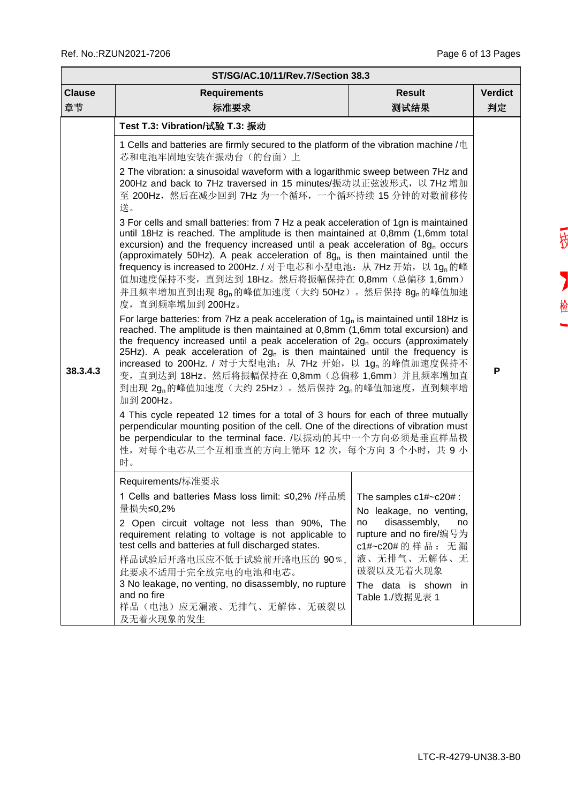r.

| ST/SG/AC.10/11/Rev.7/Section 38.3 |                                                                                                                                                                                                                                                                                                                                                                                                                                                                                                                                                                                                                                                                                                                                                                                                                                                                                                                                                                                                                                                                                                                                                                                                                                                                                                                                                                                                                                                                                                                                                                                                                                                                                                                                                                        |      |    |  |  |  |  |  |  |
|-----------------------------------|------------------------------------------------------------------------------------------------------------------------------------------------------------------------------------------------------------------------------------------------------------------------------------------------------------------------------------------------------------------------------------------------------------------------------------------------------------------------------------------------------------------------------------------------------------------------------------------------------------------------------------------------------------------------------------------------------------------------------------------------------------------------------------------------------------------------------------------------------------------------------------------------------------------------------------------------------------------------------------------------------------------------------------------------------------------------------------------------------------------------------------------------------------------------------------------------------------------------------------------------------------------------------------------------------------------------------------------------------------------------------------------------------------------------------------------------------------------------------------------------------------------------------------------------------------------------------------------------------------------------------------------------------------------------------------------------------------------------------------------------------------------------|------|----|--|--|--|--|--|--|
| <b>Clause</b>                     | <b>Result</b><br><b>Requirements</b>                                                                                                                                                                                                                                                                                                                                                                                                                                                                                                                                                                                                                                                                                                                                                                                                                                                                                                                                                                                                                                                                                                                                                                                                                                                                                                                                                                                                                                                                                                                                                                                                                                                                                                                                   |      |    |  |  |  |  |  |  |
| 章节                                | 标准要求                                                                                                                                                                                                                                                                                                                                                                                                                                                                                                                                                                                                                                                                                                                                                                                                                                                                                                                                                                                                                                                                                                                                                                                                                                                                                                                                                                                                                                                                                                                                                                                                                                                                                                                                                                   | 测试结果 | 判定 |  |  |  |  |  |  |
| 38.3.4.3                          | Test T.3: Vibration/试验 T.3: 振动<br>1 Cells and batteries are firmly secured to the platform of the vibration machine /电<br>芯和电池牢固地安装在振动台(的台面)上<br>2 The vibration: a sinusoidal waveform with a logarithmic sweep between 7Hz and<br>200Hz and back to 7Hz traversed in 15 minutes/振动以正弦波形式, 以 7Hz 增加<br>至 200Hz, 然后在减少回到 7Hz 为一个循环, 一个循环持续 15 分钟的对数前移传<br>送。<br>3 For cells and small batteries: from 7 Hz a peak acceleration of 1gn is maintained<br>until 18Hz is reached. The amplitude is then maintained at 0,8mm (1,6mm total<br>excursion) and the frequency increased until a peak acceleration of $8gn$ occurs<br>(approximately 50Hz). A peak acceleration of 8g <sub>n</sub> is then maintained until the<br>frequency is increased to 200Hz. / 对于电芯和小型电池: 从 7Hz 开始, 以 1g <sub>n</sub> 的峰<br>值加速度保持不变, 直到达到 18Hz。然后将振幅保持在 0,8mm (总偏移 1,6mm)<br>并且频率增加直到出现 8gn的峰值加速度 (大约 50Hz) 。然后保持 8gn的峰值加速<br>度, 直到频率增加到 200Hz。<br>For large batteries: from 7Hz a peak acceleration of $1gn$ is maintained until 18Hz is<br>reached. The amplitude is then maintained at 0,8mm (1,6mm total excursion) and<br>the frequency increased until a peak acceleration of $2g_0$ occurs (approximately<br>25Hz). A peak acceleration of $2g_n$ is then maintained until the frequency is<br>increased to 200Hz. / 对于大型电池: 从 7Hz 开始, 以 1g, 的峰值加速度保持不<br>变, 直到达到 18Hz。然后将振幅保持在 0,8mm (总偏移 1,6mm) 并且频率增加直<br>到出现 2g <sub>n</sub> 的峰值加速度(大约 25Hz)。然后保持 2gn的峰值加速度, 直到频率增<br>加到 200Hz。<br>4 This cycle repeated 12 times for a total of 3 hours for each of three mutually<br>perpendicular mounting position of the cell. One of the directions of vibration must<br>be perpendicular to the terminal face. /以振动的其中一个方向必须是垂直样品极<br>性,对每个电芯从三个互相垂直的方向上循环 12 次,每个方向 3 个小时,共 9 小<br>时。 |      | P  |  |  |  |  |  |  |
|                                   | Requirements/标准要求<br>1 Cells and batteries Mass loss limit: ≤0,2% /样品质   The samples c1#~c20# :                                                                                                                                                                                                                                                                                                                                                                                                                                                                                                                                                                                                                                                                                                                                                                                                                                                                                                                                                                                                                                                                                                                                                                                                                                                                                                                                                                                                                                                                                                                                                                                                                                                                        |      |    |  |  |  |  |  |  |
|                                   | 量损失≤0,2%<br>No leakage, no venting,<br>disassembly,<br>2 Open circuit voltage not less than 90%, The<br>no<br>no<br>rupture and no fire/编号为<br>requirement relating to voltage is not applicable to<br>test cells and batteries at full discharged states.<br>c1#~c20#的样品: 无漏<br>液、无排气、无解体、无<br>样品试验后开路电压应不低于试验前开路电压的 90%,<br>破裂以及无着火现象<br>此要求不适用于完全放完电的电池和电芯。<br>3 No leakage, no venting, no disassembly, no rupture<br>The data is shown in<br>and no fire<br>Table 1./数据见表 1<br>样品(电池)应无漏液、无排气、无解体、无破裂以<br>及无着火现象的发生                                                                                                                                                                                                                                                                                                                                                                                                                                                                                                                                                                                                                                                                                                                                                                                                                                                                                                                                                                                                                                                                                                                                                                                                                                               |      |    |  |  |  |  |  |  |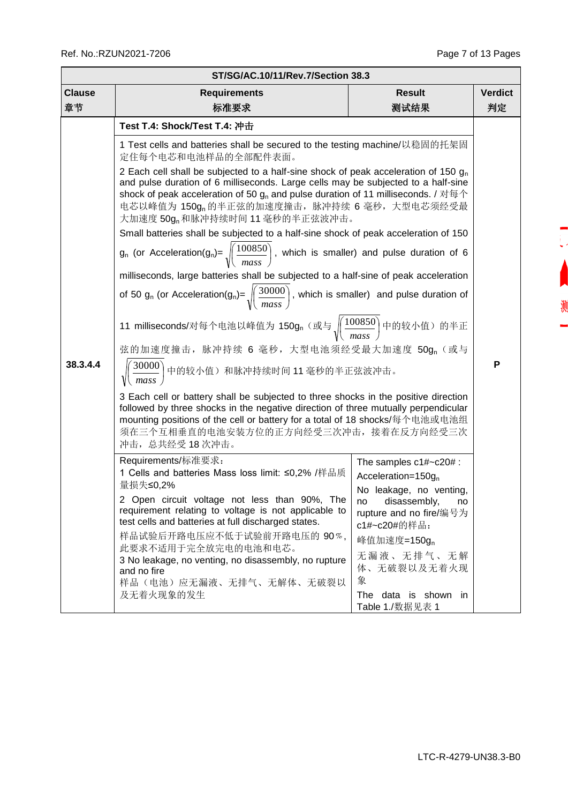测

| <b>Clause</b><br><b>Result</b><br><b>Verdict</b><br><b>Requirements</b><br>章节<br>标准要求<br>测试结果<br>判定<br>Test T.4: Shock/Test T.4: 冲击<br>1 Test cells and batteries shall be secured to the testing machine/以稳固的托架固<br>定住每个电芯和电池样品的全部配件表面。<br>2 Each cell shall be subjected to a half-sine shock of peak acceleration of 150 $q_n$<br>and pulse duration of 6 milliseconds. Large cells may be subjected to a half-sine<br>shock of peak acceleration of 50 $g_n$ and pulse duration of 11 milliseconds. / 对每个<br>电芯以峰值为 150g <sub>n</sub> 的半正弦的加速度撞击, 脉冲持续 6 毫秒, 大型电芯须经受最<br>大加速度 50g <sub>n</sub> 和脉冲持续时间 11 毫秒的半正弦波冲击。<br>Small batteries shall be subjected to a half-sine shock of peak acceleration of 150<br>$g_n$ (or Acceleration( $g_n$ )= $\sqrt{\frac{100850}{mass}}$ , which is smaller) and pulse duration of 6<br>milliseconds, large batteries shall be subjected to a half-sine of peak acceleration<br>of 50 g <sub>n</sub> (or Acceleration(g <sub>n</sub> )= $\sqrt{\left(\frac{30000}{mass}\right)}$ , which is smaller) and pulse duration of<br>11 milliseconds/对每个电池以峰值为 150g, (或与 $\sqrt{\left(\frac{100850}{mass}\right)}$ 中的较小值) 的半正<br>弦的加速度撞击, 脉冲持续 6 毫秒, 大型电池须经受最大加速度 50gn (或与<br>38.3.4.4<br>P<br>$\sqrt{\left(\frac{30000}{mass}\right)}$ 中的较小值)和脉冲持续时间 11 毫秒的半正弦波冲击。<br>3 Each cell or battery shall be subjected to three shocks in the positive direction<br>followed by three shocks in the negative direction of three mutually perpendicular<br>mounting positions of the cell or battery for a total of 18 shocks/每个电池或电池组<br>须在三个互相垂直的电池安装方位的正方向经受三次冲击,接着在反方向经受三次<br>冲击, 总共经受18次冲击。 | ST/SG/AC.10/11/Rev.7/Section 38.3 |  |  |  |  |  |  |  |  |  |  |
|----------------------------------------------------------------------------------------------------------------------------------------------------------------------------------------------------------------------------------------------------------------------------------------------------------------------------------------------------------------------------------------------------------------------------------------------------------------------------------------------------------------------------------------------------------------------------------------------------------------------------------------------------------------------------------------------------------------------------------------------------------------------------------------------------------------------------------------------------------------------------------------------------------------------------------------------------------------------------------------------------------------------------------------------------------------------------------------------------------------------------------------------------------------------------------------------------------------------------------------------------------------------------------------------------------------------------------------------------------------------------------------------------------------------------------------------------------------------------------------------------------------------------------------------------------------------------------------------------------------------------|-----------------------------------|--|--|--|--|--|--|--|--|--|--|
|                                                                                                                                                                                                                                                                                                                                                                                                                                                                                                                                                                                                                                                                                                                                                                                                                                                                                                                                                                                                                                                                                                                                                                                                                                                                                                                                                                                                                                                                                                                                                                                                                            |                                   |  |  |  |  |  |  |  |  |  |  |
| Requirements/标准要求:<br>The samples $c1\#$ ~ $c20\#$ :<br>1 Cells and batteries Mass loss limit: ≤0,2% /样品质<br>Acceleration= $150g_n$<br>量损失≤0,2%<br>No leakage, no venting,<br>2 Open circuit voltage not less than 90%, The<br>disassembly,<br>no<br>no<br>requirement relating to voltage is not applicable to<br>rupture and no fire/编号为<br>test cells and batteries at full discharged states.<br>c1#~c20#的样品:<br>样品试验后开路电压应不低于试验前开路电压的 90%,<br>峰值加速度=150g <sub>n</sub><br>此要求不适用于完全放完电的电池和电芯。<br>无漏液、无排气、无解<br>3 No leakage, no venting, no disassembly, no rupture<br>体、无破裂以及无着火现<br>and no fire<br>象<br>样品(电池)应无漏液、无排气、无解体、无破裂以<br>及无着火现象的发生<br>The data is shown in                                                                                                                                                                                                                                                                                                                                                                                                                                                                                                                                                                                                                                                                                                                                                                                                                                                                                                                                                 |                                   |  |  |  |  |  |  |  |  |  |  |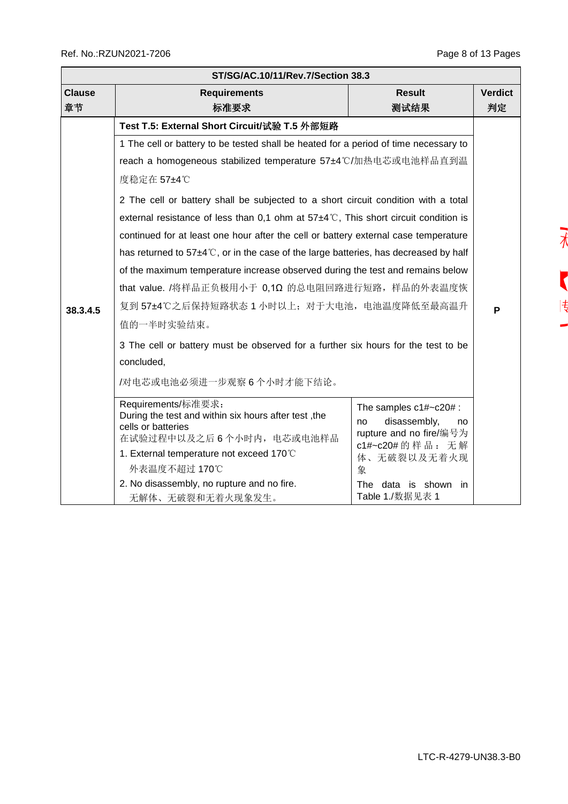| ST/SG/AC.10/11/Rev.7/Section 38.3 |                                                                                                                                                                                                                                                                                                                                                                                                                                                                                                                                                                                                                                                                                                                                                                                |                                                                                                                                                                           |                           |  |  |  |  |  |  |
|-----------------------------------|--------------------------------------------------------------------------------------------------------------------------------------------------------------------------------------------------------------------------------------------------------------------------------------------------------------------------------------------------------------------------------------------------------------------------------------------------------------------------------------------------------------------------------------------------------------------------------------------------------------------------------------------------------------------------------------------------------------------------------------------------------------------------------|---------------------------------------------------------------------------------------------------------------------------------------------------------------------------|---------------------------|--|--|--|--|--|--|
| <b>Clause</b><br>章节               | <b>Result</b><br><b>Requirements</b><br>标准要求<br>测试结果                                                                                                                                                                                                                                                                                                                                                                                                                                                                                                                                                                                                                                                                                                                           |                                                                                                                                                                           |                           |  |  |  |  |  |  |
| 38.3.4.5                          | Test T.5: External Short Circuit/试验 T.5 外部短路<br>1 The cell or battery to be tested shall be heated for a period of time necessary to<br>reach a homogeneous stabilized temperature 57±4℃/加热电芯或电池样品直到温<br>度稳定在 57±4℃<br>2 The cell or battery shall be subjected to a short circuit condition with a total<br>external resistance of less than 0,1 ohm at $57\pm4\degree$ C, This short circuit condition is<br>continued for at least one hour after the cell or battery external case temperature<br>has returned to 57±4℃, or in the case of the large batteries, has decreased by half<br>of the maximum temperature increase observed during the test and remains below<br>that value. /将样品正负极用小于 0,1Ω 的总电阻回路进行短路, 样品的外表温度恢<br>复到 57±4℃之后保持短路状态 1 小时以上; 对于大电池, 电池温度降低至最高温升 |                                                                                                                                                                           | <b>Verdict</b><br>判定<br>P |  |  |  |  |  |  |
|                                   | 值的一半时实验结束。<br>3 The cell or battery must be observed for a further six hours for the test to be<br>concluded,<br>/对电芯或电池必须进一步观察6个小时才能下结论。<br>Requirements/标准要求:<br>During the test and within six hours after test, the<br>cells or batteries<br>在试验过程中以及之后6个小时内, 电芯或电池样品<br>1. External temperature not exceed 170°C<br>外表温度不超过 170℃<br>2. No disassembly, no rupture and no fire.<br>无解体、无破裂和无着火现象发生。                                                                                                                                                                                                                                                                                                                                                                        | The samples $c1\#~c20\#$ :<br>disassembly,<br>no<br>no<br>rupture and no fire/编号为<br>c1#~c20#的样品: 无解<br>体、无破裂以及无着火现<br>象<br>The data is shown<br>in in<br>Table 1./数据见表 1 |                           |  |  |  |  |  |  |

 $\overline{1}$ Ī  $|\frac{4}{3}\rangle$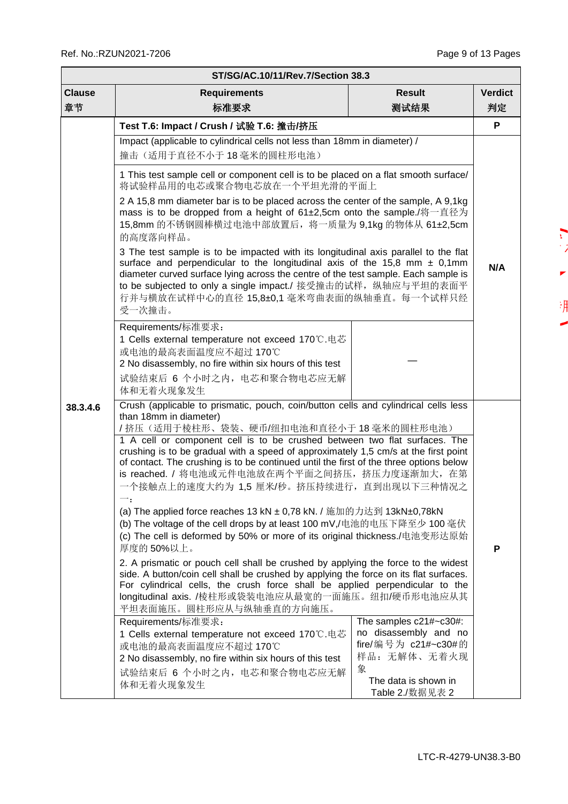$\mathbf{L}$ 

 $\blacksquare$ 

渊

| ST/SG/AC.10/11/Rev.7/Section 38.3 |                                                                                                                                                                                                                                                                                                                                                                                                                                                                                                                                                                                                                                                                                                                                                                                                                                                                                                                                                                                                                                                                                                                                                                                                                                                                                                                         |                                                                                                                                        |     |  |  |  |  |  |
|-----------------------------------|-------------------------------------------------------------------------------------------------------------------------------------------------------------------------------------------------------------------------------------------------------------------------------------------------------------------------------------------------------------------------------------------------------------------------------------------------------------------------------------------------------------------------------------------------------------------------------------------------------------------------------------------------------------------------------------------------------------------------------------------------------------------------------------------------------------------------------------------------------------------------------------------------------------------------------------------------------------------------------------------------------------------------------------------------------------------------------------------------------------------------------------------------------------------------------------------------------------------------------------------------------------------------------------------------------------------------|----------------------------------------------------------------------------------------------------------------------------------------|-----|--|--|--|--|--|
| <b>Clause</b>                     | <b>Result</b><br><b>Requirements</b>                                                                                                                                                                                                                                                                                                                                                                                                                                                                                                                                                                                                                                                                                                                                                                                                                                                                                                                                                                                                                                                                                                                                                                                                                                                                                    |                                                                                                                                        |     |  |  |  |  |  |
| 章节                                | 标准要求<br>测试结果                                                                                                                                                                                                                                                                                                                                                                                                                                                                                                                                                                                                                                                                                                                                                                                                                                                                                                                                                                                                                                                                                                                                                                                                                                                                                                            |                                                                                                                                        |     |  |  |  |  |  |
|                                   | Test T.6: Impact / Crush / 试验 T.6: 撞击/挤压                                                                                                                                                                                                                                                                                                                                                                                                                                                                                                                                                                                                                                                                                                                                                                                                                                                                                                                                                                                                                                                                                                                                                                                                                                                                                |                                                                                                                                        | P   |  |  |  |  |  |
|                                   | Impact (applicable to cylindrical cells not less than 18mm in diameter) /                                                                                                                                                                                                                                                                                                                                                                                                                                                                                                                                                                                                                                                                                                                                                                                                                                                                                                                                                                                                                                                                                                                                                                                                                                               |                                                                                                                                        |     |  |  |  |  |  |
|                                   | 撞击(适用于直径不小于18毫米的圆柱形电池)<br>1 This test sample cell or component cell is to be placed on a flat smooth surface/<br>将试验样品用的电芯或聚合物电芯放在一个平坦光滑的平面上                                                                                                                                                                                                                                                                                                                                                                                                                                                                                                                                                                                                                                                                                                                                                                                                                                                                                                                                                                                                                                                                                                                                                                            |                                                                                                                                        |     |  |  |  |  |  |
|                                   |                                                                                                                                                                                                                                                                                                                                                                                                                                                                                                                                                                                                                                                                                                                                                                                                                                                                                                                                                                                                                                                                                                                                                                                                                                                                                                                         |                                                                                                                                        |     |  |  |  |  |  |
|                                   | 2 A 15,8 mm diameter bar is to be placed across the center of the sample, A 9,1kg<br>mass is to be dropped from a height of 61±2,5cm onto the sample./将一直径为<br>15,8mm 的不锈钢圆棒横过电池中部放置后, 将一质量为 9,1kg 的物体从 61±2,5cm<br>的高度落向样品。                                                                                                                                                                                                                                                                                                                                                                                                                                                                                                                                                                                                                                                                                                                                                                                                                                                                                                                                                                                                                                                                                            |                                                                                                                                        |     |  |  |  |  |  |
|                                   | 3 The test sample is to be impacted with its longitudinal axis parallel to the flat<br>surface and perpendicular to the longitudinal axis of the 15,8 mm $\pm$ 0,1mm<br>diameter curved surface lying across the centre of the test sample. Each sample is<br>to be subjected to only a single impact./ 接受撞击的试样, 纵轴应与平坦的表面平<br>行并与横放在试样中心的直径 15,8±0,1 毫米弯曲表面的纵轴垂直。每一个试样只经<br>受一次撞击。                                                                                                                                                                                                                                                                                                                                                                                                                                                                                                                                                                                                                                                                                                                                                                                                                                                                                                                                     |                                                                                                                                        | N/A |  |  |  |  |  |
|                                   | Requirements/标准要求:<br>1 Cells external temperature not exceed 170°C.电芯<br>或电池的最高表面温度应不超过 170℃<br>2 No disassembly, no fire within six hours of this test<br>试验结束后 6 个小时之内, 电芯和聚合物电芯应无解<br>体和无着火现象发生                                                                                                                                                                                                                                                                                                                                                                                                                                                                                                                                                                                                                                                                                                                                                                                                                                                                                                                                                                                                                                                                                                                     |                                                                                                                                        |     |  |  |  |  |  |
| 38.3.4.6                          | Crush (applicable to prismatic, pouch, coin/button cells and cylindrical cells less<br>than 18mm in diameter)<br>/ 挤压(适用于棱柱形、袋装、硬币/纽扣电池和直径小于 18 毫米的圆柱形电池)<br>1 A cell or component cell is to be crushed between two flat surfaces. The<br>crushing is to be gradual with a speed of approximately 1,5 cm/s at the first point<br>of contact. The crushing is to be continued until the first of the three options below<br>is reached. / 将电池或元件电池放在两个平面之间挤压, 挤压力度逐渐加大, 在第<br>一个接触点上的速度大约为 1,5 厘米/秒。挤压持续进行, 直到出现以下三种情况之<br>(a) The applied force reaches 13 kN ± 0,78 kN. / 施加的力达到 13kN±0,78kN<br>(b) The voltage of the cell drops by at least 100 mV,/电池的电压下降至少 100 毫伏<br>(c) The cell is deformed by 50% or more of its original thickness./电池变形达原始<br>厚度的50%以上。<br>2. A prismatic or pouch cell shall be crushed by applying the force to the widest<br>side. A button/coin cell shall be crushed by applying the force on its flat surfaces.<br>For cylindrical cells, the crush force shall be applied perpendicular to the<br>longitudinal axis. /棱柱形或袋装电池应从最宽的一面施压。纽扣/硬币形电池应从其<br>平坦表面施压。圆柱形应从与纵轴垂直的方向施压。<br>Requirements/标准要求:<br>1 Cells external temperature not exceed 170 ℃ 电芯<br>或电池的最高表面温度应不超过170℃<br>2 No disassembly, no fire within six hours of this test<br>试验结束后 6 个小时之内, 电芯和聚合物电芯应无解<br>体和无着火现象发生 | The samples c21#~c30#:<br>no disassembly and no<br>fire/编号为 c21#~c30#的<br>样品: 无解体、无着火现<br>象<br>The data is shown in<br>Table 2./数据见表 2 | P   |  |  |  |  |  |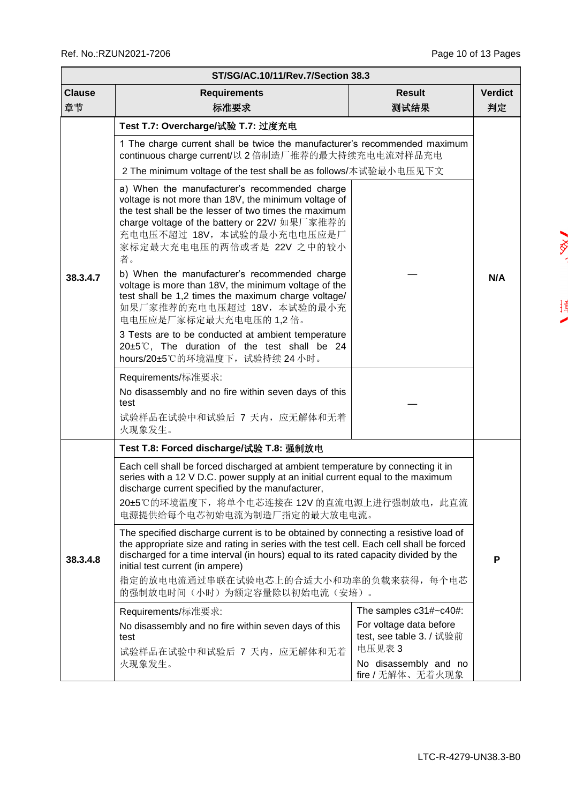$\sqrt{\frac{2}{\sqrt{2}}}$ 

 $\begin{array}{c} \frac{1}{2} \end{array}$  $\overline{\phantom{a}}$ 

|               | ST/SG/AC.10/11/Rev.7/Section 38.3                                                                                                                                                                                                                                                                                                                                                                                                                                                                                                                                                                                                                             |                                                                                         |                |  |  |  |  |  |  |
|---------------|---------------------------------------------------------------------------------------------------------------------------------------------------------------------------------------------------------------------------------------------------------------------------------------------------------------------------------------------------------------------------------------------------------------------------------------------------------------------------------------------------------------------------------------------------------------------------------------------------------------------------------------------------------------|-----------------------------------------------------------------------------------------|----------------|--|--|--|--|--|--|
| <b>Clause</b> | <b>Requirements</b>                                                                                                                                                                                                                                                                                                                                                                                                                                                                                                                                                                                                                                           | <b>Result</b>                                                                           | <b>Verdict</b> |  |  |  |  |  |  |
| 章节            | 标准要求                                                                                                                                                                                                                                                                                                                                                                                                                                                                                                                                                                                                                                                          | 测试结果                                                                                    | 判定             |  |  |  |  |  |  |
| 38.3.4.7      | Test T.7: Overcharge/试验 T.7: 过度充电<br>1 The charge current shall be twice the manufacturer's recommended maximum<br>continuous charge current/以 2 倍制造厂推荐的最大持续充电电流对样品充电<br>2 The minimum voltage of the test shall be as follows/本试验最小电压见下文                                                                                                                                                                                                                                                                                                                                                                                                                     |                                                                                         |                |  |  |  |  |  |  |
|               | a) When the manufacturer's recommended charge<br>voltage is not more than 18V, the minimum voltage of<br>the test shall be the lesser of two times the maximum<br>charge voltage of the battery or 22V/ 如果厂家推荐的<br>充电电压不超过 18V, 本试验的最小充电电压应是厂<br>家标定最大充电电压的两倍或者是 22V 之中的较小<br>者。<br>b) When the manufacturer's recommended charge<br>voltage is more than 18V, the minimum voltage of the<br>test shall be 1,2 times the maximum charge voltage/<br>如果厂家推荐的充电电压超过 18V, 本试验的最小充<br>电电压应是厂家标定最大充电电压的 1,2 倍。<br>3 Tests are to be conducted at ambient temperature<br>$20\pm5^{\circ}$ C, The duration of the test shall be 24<br>hours/20±5℃的环境温度下, 试验持续 24 小时。 |                                                                                         | N/A            |  |  |  |  |  |  |
|               | Requirements/标准要求:<br>No disassembly and no fire within seven days of this<br>test<br>试验样品在试验中和试验后 7 天内, 应无解体和无着<br>火现象发生。                                                                                                                                                                                                                                                                                                                                                                                                                                                                                                                                    |                                                                                         |                |  |  |  |  |  |  |
|               | Test T.8: Forced discharge/试验 T.8: 强制放电                                                                                                                                                                                                                                                                                                                                                                                                                                                                                                                                                                                                                       |                                                                                         |                |  |  |  |  |  |  |
| 38.3.4.8      | Each cell shall be forced discharged at ambient temperature by connecting it in<br>series with a 12 V D.C. power supply at an initial current equal to the maximum<br>discharge current specified by the manufacturer,<br>20±5℃的环境温度下, 将单个电芯连接在 12V 的直流电源上进行强制放电, 此直流<br>电源提供给每个电芯初始电流为制造厂指定的最大放电电流。                                                                                                                                                                                                                                                                                                                                                          |                                                                                         |                |  |  |  |  |  |  |
|               | The specified discharge current is to be obtained by connecting a resistive load of<br>the appropriate size and rating in series with the test cell. Each cell shall be forced<br>discharged for a time interval (in hours) equal to its rated capacity divided by the<br>initial test current (in ampere)<br>指定的放电电流通过串联在试验电芯上的合适大小和功率的负载来获得,每个电芯                                                                                                                                                                                                                                                                                                            |                                                                                         |                |  |  |  |  |  |  |
|               | 的强制放电时间(小时)为额定容量除以初始电流(安培)。                                                                                                                                                                                                                                                                                                                                                                                                                                                                                                                                                                                                                                   |                                                                                         |                |  |  |  |  |  |  |
|               | Requirements/标准要求:<br>No disassembly and no fire within seven days of this<br>test<br>试验样品在试验中和试验后 7 天内, 应无解体和无着                                                                                                                                                                                                                                                                                                                                                                                                                                                                                                                                              | The samples c31#~c40#:<br>For voltage data before<br>test, see table 3. / 试验前<br>电压见表 3 |                |  |  |  |  |  |  |
|               | 火现象发生。                                                                                                                                                                                                                                                                                                                                                                                                                                                                                                                                                                                                                                                        | No disassembly and no<br>fire / 无解体、无着火现象                                               |                |  |  |  |  |  |  |

LTC-R-4279-UN38.3-B0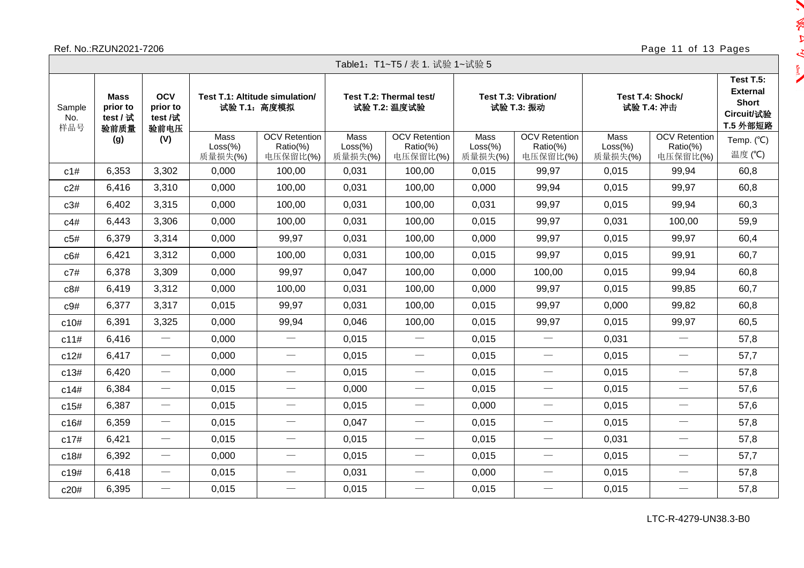## Ref. No.:RZUN2021-7206 Page 11 of 13 Pages

**Separate** 

 $\sim -10$ 

E<sup>T</sup>

|                      | Table1:T1~T5 / 表 1. 试验 1~试验 5               |                                           |                               |                                                       |                                         |                                              |                                    |                                              |                                |                                                                               |                      |  |  |  |
|----------------------|---------------------------------------------|-------------------------------------------|-------------------------------|-------------------------------------------------------|-----------------------------------------|----------------------------------------------|------------------------------------|----------------------------------------------|--------------------------------|-------------------------------------------------------------------------------|----------------------|--|--|--|
| Sample<br>No.<br>样品号 | <b>Mass</b><br>prior to<br>test / 试<br>验前质量 | <b>OCV</b><br>prior to<br>test /试<br>验前电压 |                               | <b>Test T.1: Altitude simulation/</b><br>试验 T.1: 高度模拟 | Test T.2: Thermal test/<br>试验 T.2: 温度试验 |                                              | Test T.3: Vibration/<br>试验 T.3: 振动 |                                              | Test T.4: Shock/<br>试验 T.4: 冲击 | <b>Test T.5:</b><br><b>External</b><br><b>Short</b><br>Circuit/试验<br>T.5 外部短路 |                      |  |  |  |
|                      | (g)                                         | (V)                                       | Mass<br>$Loss(\%)$<br>质量损失(%) | <b>OCV</b> Retention<br>Ratio(%)<br>电压保留比(%)          | Mass<br>$Loss$ %)<br>质量损失(%)            | <b>OCV</b> Retention<br>Ratio(%)<br>电压保留比(%) | Mass<br>$Loss(\%)$<br>质量损失(%)      | <b>OCV</b> Retention<br>Ratio(%)<br>电压保留比(%) | Mass<br>$Loss(\%)$<br>质量损失(%)  | <b>OCV</b> Retention<br>Ratio(%)<br>电压保留比(%)                                  | Temp. (°C)<br>温度 (℃) |  |  |  |
| c1#                  | 6,353                                       | 3,302                                     | 0,000                         | 100,00                                                | 0,031                                   | 100,00                                       | 0,015                              | 99,97                                        | 0,015                          | 99,94                                                                         | 60,8                 |  |  |  |
| c2#                  | 6,416                                       | 3,310                                     | 0.000                         | 100,00                                                | 0.031                                   | 100,00                                       | 0,000                              | 99,94                                        | 0,015                          | 99,97                                                                         | 60,8                 |  |  |  |
| c3#                  | 6,402                                       | 3,315                                     | 0,000                         | 100,00                                                | 0,031                                   | 100,00                                       | 0,031                              | 99,97                                        | 0,015                          | 99,94                                                                         | 60,3                 |  |  |  |
| c4#                  | 6,443                                       | 3,306                                     | 0,000                         | 100,00                                                | 0,031                                   | 100,00                                       | 0,015                              | 99,97                                        | 0,031                          | 100,00                                                                        | 59,9                 |  |  |  |
| c5#                  | 6,379                                       | 3,314                                     | 0,000                         | 99,97                                                 | 0,031                                   | 100,00                                       | 0,000                              | 99,97                                        | 0,015                          | 99,97                                                                         | 60,4                 |  |  |  |
| c6#                  | 6,421                                       | 3,312                                     | 0,000                         | 100,00                                                | 0,031                                   | 100,00                                       | 0,015                              | 99,97                                        | 0,015                          | 99,91                                                                         | 60,7                 |  |  |  |
| c7#                  | 6,378                                       | 3,309                                     | 0,000                         | 99,97                                                 | 0,047                                   | 100,00                                       | 0,000                              | 100,00                                       | 0,015                          | 99,94                                                                         | 60,8                 |  |  |  |
| c8#                  | 6,419                                       | 3,312                                     | 0,000                         | 100,00                                                | 0,031                                   | 100,00                                       | 0,000                              | 99,97                                        | 0.015                          | 99,85                                                                         | 60,7                 |  |  |  |
| c9#                  | 6,377                                       | 3,317                                     | 0,015                         | 99,97                                                 | 0,031                                   | 100,00                                       | 0,015                              | 99,97                                        | 0,000                          | 99,82                                                                         | 60,8                 |  |  |  |
| c10#                 | 6,391                                       | 3,325                                     | 0,000                         | 99,94                                                 | 0,046                                   | 100,00                                       | 0,015                              | 99,97                                        | 0,015                          | 99,97                                                                         | 60,5                 |  |  |  |
| c11#                 | 6,416                                       | $\overbrace{\phantom{12333}}$             | 0,000                         |                                                       | 0,015                                   |                                              | 0,015                              |                                              | 0,031                          | $\overbrace{\qquad \qquad }^{}$                                               | 57,8                 |  |  |  |
| c12#                 | 6,417                                       |                                           | 0,000                         | $\hspace{0.1mm}-\hspace{0.1mm}$                       | 0,015                                   |                                              | 0,015                              | $\overline{\phantom{m}}$                     | 0,015                          | $\overline{\phantom{m}}$                                                      | 57,7                 |  |  |  |
| c13#                 | 6,420                                       | $\overbrace{\phantom{13333}}$             | 0,000                         | $\hspace{0.05cm}$                                     | 0,015                                   |                                              | 0,015                              | $\overbrace{\qquad \qquad }^{}$              | 0,015                          |                                                                               | 57,8                 |  |  |  |
| c14#                 | 6,384                                       | $\overbrace{\phantom{13333}}$             | 0.015                         | $\hspace{0.1mm}-\hspace{0.1mm}$                       | 0,000                                   | $\overbrace{\phantom{12333}}$                | 0,015                              | $\overbrace{\qquad \qquad }^{}$              | 0,015                          | $\overbrace{\phantom{12333}}$                                                 | 57,6                 |  |  |  |
| c15#                 | 6,387                                       | $\overline{\phantom{0}}$                  | 0,015                         | $\hspace{0.1mm}-\hspace{0.1mm}$                       | 0,015                                   |                                              | 0,000                              | $\hspace{0.1mm}-\hspace{0.1mm}$              | 0,015                          |                                                                               | 57,6                 |  |  |  |
| c16#                 | 6,359                                       | $\overbrace{\phantom{12333}}$             | 0.015                         | $\hspace{0.1mm}-\hspace{0.1mm}$                       | 0,047                                   | $\overbrace{\qquad \qquad }^{}$              | 0,015                              | $\overline{\phantom{m}}$                     | 0,015                          | $\overbrace{\phantom{12333}}$                                                 | 57,8                 |  |  |  |
| c17#                 | 6,421                                       |                                           | 0,015                         | $\hspace{0.1mm}-\hspace{0.1mm}$                       | 0,015                                   |                                              | 0,015                              | $\overline{\phantom{m}}$                     | 0,031                          |                                                                               | 57,8                 |  |  |  |
| c18#                 | 6,392                                       | $\overline{\phantom{m}}$                  | 0,000                         | $\overline{\phantom{m}}$                              | 0,015                                   | $\overbrace{\phantom{123331}}$               | 0,015                              | $\overline{\phantom{m}}$                     | 0,015                          | $\overbrace{\phantom{12333}}$                                                 | 57,7                 |  |  |  |
| c19#                 | 6,418                                       | $\overbrace{\phantom{13333}}$             | 0,015                         | $\overline{\phantom{m}}$                              | 0,031                                   | $\qquad \qquad$                              | 0,000                              | $\overbrace{\qquad \qquad }^{}$              | 0,015                          | $\overbrace{\qquad \qquad }^{}$                                               | 57,8                 |  |  |  |
| c20#                 | 6,395                                       | $\overbrace{\phantom{13333}}$             | 0,015                         |                                                       | 0,015                                   | $\overbrace{\qquad \qquad }^{}$              | 0,015                              |                                              | 0,015                          |                                                                               | 57,8                 |  |  |  |

LTC-R-4279-UN38.3-B0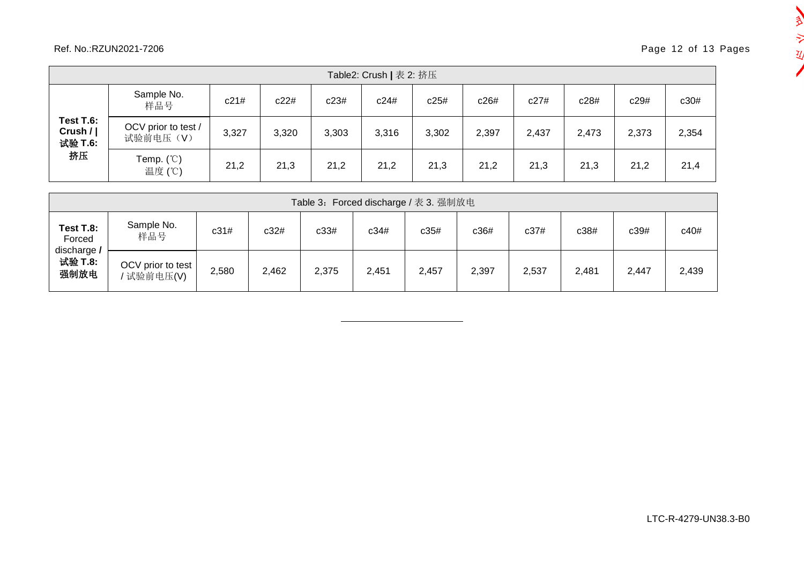## Ref. No.:RZUN2021-7206 Page 12 of 13 Pages

| Table2: Crush   表 2: 挤压                   |                                 |       |       |       |       |       |       |       |       |       |       |  |
|-------------------------------------------|---------------------------------|-------|-------|-------|-------|-------|-------|-------|-------|-------|-------|--|
| Test T.6:<br>Crush $/$  <br>试验 T.6:<br>挤压 | Sample No.<br>样品号               | c21#  | c22#  | c23#  | c24#  | c25#  | c26#  | c27#  | c28#  | c29#  | c30#  |  |
|                                           | OCV prior to test /<br>试验前电压(V) | 3,327 | 3,320 | 3,303 | 3,316 | 3,302 | 2,397 | 2,437 | 2,473 | 2,373 | 2,354 |  |
|                                           | Temp. $(^\circ\circ)$<br>温度 (℃) | 21,2  | 21,3  | 21,2  | 21,2  | 21,3  | 21,2  | 21,3  | 21,3  | 21,2  | 21,4  |  |

|                                                       | Table 3: Forced discharge / 表 3. 强制放电 |       |       |       |       |       |       |       |       |       |       |  |  |  |
|-------------------------------------------------------|---------------------------------------|-------|-------|-------|-------|-------|-------|-------|-------|-------|-------|--|--|--|
| Test T.8:<br>Forced<br>discharge /<br>试验 T.8:<br>强制放电 | Sample No.<br>样品号                     | c31#  | c32#  | c33#  | c34#  | c35#  | c36#  | c37#  | c38#  | c39#  | c40#  |  |  |  |
|                                                       | OCV prior to test<br>' 试验前电压(V)       | 2,580 | 2,462 | 2,375 | 2,451 | 2,457 | 2,397 | 2,537 | 2,481 | 2,447 | 2,439 |  |  |  |

一定

丒